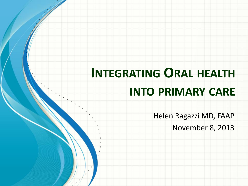# **INTEGRATING ORAL HEALTH INTO PRIMARY CARE**

Helen Ragazzi MD, FAAP

November 8, 2013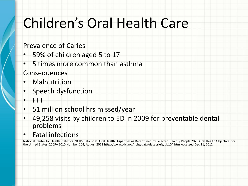## Children's Oral Health Care

#### Prevalence of Caries

- 59% of children aged 5 to 17
- 5 times more common than asthma

#### **Consequences**

- **Malnutrition**
- Speech dysfunction
- FTT
- 51 million school hrs missed/year
- 49,258 visits by children to ED in 2009 for preventable dental problems
- Fatal infections

National Center for Health Statistics. NCHS Data Brief: Oral Health Disparities as Determined by Selected Healthy People 2020 Oral Health Objectives for the United States, 2009– 2010.Number 104, August 2012 http://www.cdc.gov/nchs/data/databriefs/db104.htm Accessed Dec 11, 2012.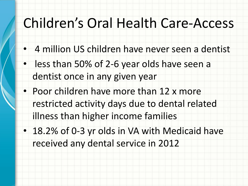## Children's Oral Health Care-Access

- 4 million US children have never seen a dentist
- less than 50% of 2-6 year olds have seen a dentist once in any given year
- Poor children have more than 12 x more restricted activity days due to dental related illness than higher income families
- 18.2% of 0-3 yr olds in VA with Medicaid have received any dental service in 2012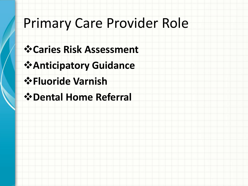### Primary Care Provider Role

- **Caries Risk Assessment**
- **Anticipatory Guidance**
- **Fluoride Varnish**
- **Dental Home Referral**